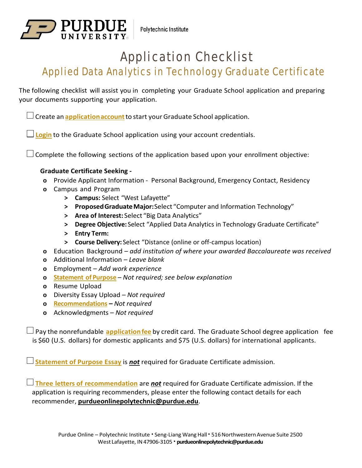

## Application Checklist

## Applied Data Analytics in Technology Graduate Certificate

The following checklist will assist you in completing your Graduate School application and preparing your documents supporting your application.

Create an **[applicationaccount](https://gradapply.purdue.edu/apply/)**to start your Graduate School application.

**[Login](https://gradapply.purdue.edu/apply/)** to the Graduate School application using your account credentials.

 $\Box$  Complete the following sections of the application based upon your enrollment objective:

## **Graduate Certificate Seeking -**

- **o** Provide Applicant Information Personal Background, Emergency Contact, Residency
- **o** Campus and Program
	- **> Campus:** Select "West Lafayette"
	- **> ProposedGraduate Major:** Select "Computer and Information Technology"
	- **> Area of Interest:** Select "Big Data Analytics"
	- **> Degree Objective:** Select "Applied Data Analytics in Technology Graduate Certificate"
	- **> Entry Term:**
	- **> Course Delivery:** Select "Distance (online or off-campus location)
- **o** Education Background  *add institution of where your awarded Baccalaureate was received*
- **o** Additional Information  *Leave blank*
- **o** Employment  *Add work experience*
- **o [Statement of Purpose](https://www.purdue.edu/gradschool/admissions/how-to-apply/apply-statement.html)**  *Not required; see below explanation*
- **o** Resume Upload
- **o** Diversity Essay Upload  *Not required*
- **o [Recommendations](https://www.purdue.edu/gradschool/admissions/how-to-apply/apply-recommendation.html)**  *Not required*
- **o** Acknowledgments  *Not required*

 Pay the nonrefundable **[applicationfee](https://www.purdue.edu/gradschool/admissions/how-to-apply/apply-fee.html)** by credit card. The Graduate School degree application fee is \$60 (U.S. dollars) for domestic applicants and \$75 (U.S. dollars) for international applicants.

**[Statement of Purpose Essay](https://www.purdue.edu/gradschool/admissions/how-to-apply/apply-statement.html)** is *not* required for Graduate Certificate admission.

 **[Three letters of recommendation](https://www.purdue.edu/gradschool/admissions/how-to-apply/apply-recommendation.html)** are *not* required for Graduate Certificate admission. If the application is requiring recommenders, please enter the following contact details for each recommender, **[purdueonlinepolytechnic@purdue.edu](mailto:purdueonlinepolytechnic@purdue.edu)**.